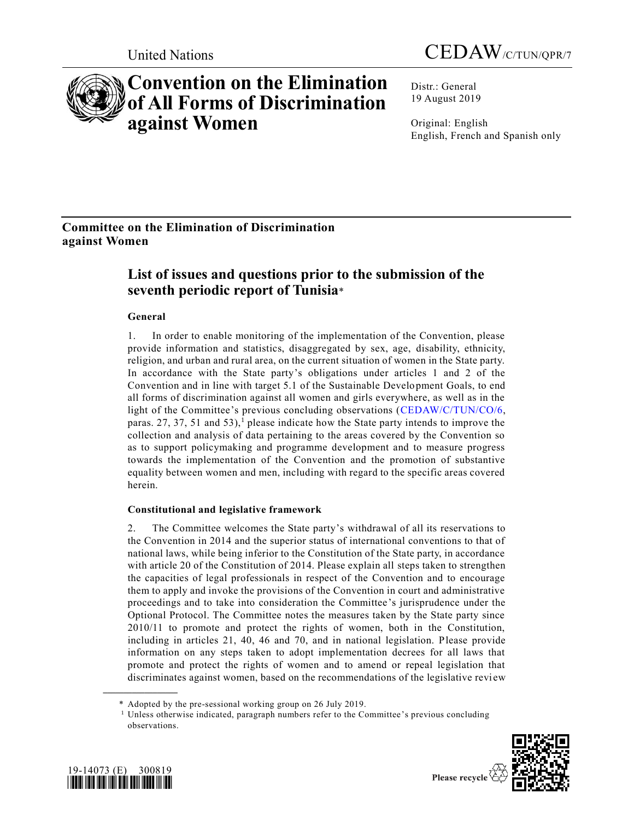



# **Convention on the Elimination of All Forms of Discrimination against Women**

Distr.: General 19 August 2019

Original: English English, French and Spanish only

# **Committee on the Elimination of Discrimination against Women**

# **List of issues and questions prior to the submission of the seventh periodic report of Tunisia**\*

## **General**

1. In order to enable monitoring of the implementation of the Convention, please provide information and statistics, disaggregated by sex, age, disability, ethnicity, religion, and urban and rural area, on the current situation of women in the State party. In accordance with the State party's obligations under articles 1 and 2 of the Convention and in line with target 5.1 of the Sustainable Development Goals, to end all forms of discrimination against all women and girls everywhere, as well as in the light of the Committee's previous concluding observations [\(CEDAW/C/TUN/CO/6,](https://undocs.org/en/CEDAW/C/TUN/CO/6) paras. 27, 37, 51 and 53),<sup>1</sup> please indicate how the State party intends to improve the collection and analysis of data pertaining to the areas covered by the Convention so as to support policymaking and programme development and to measure progress towards the implementation of the Convention and the promotion of substantive equality between women and men, including with regard to the specific areas covered herein.

### **Constitutional and legislative framework**

2. The Committee welcomes the State party's withdrawal of all its reservations to the Convention in 2014 and the superior status of international conventions to that of national laws, while being inferior to the Constitution of the State party, in accordance with article 20 of the Constitution of 2014. Please explain all steps taken to strengthen the capacities of legal professionals in respect of the Convention and to encourage them to apply and invoke the provisions of the Convention in court and administrative proceedings and to take into consideration the Committee's jurisprudence under the Optional Protocol. The Committee notes the measures taken by the State party since 2010/11 to promote and protect the rights of women, both in the Constitution, including in articles 21, 40, 46 and 70, and in national legislation. Please provide information on any steps taken to adopt implementation decrees for all laws that promote and protect the rights of women and to amend or repeal legislation that discriminates against women, based on the recommendations of the legislative revi ew

<sup>&</sup>lt;sup>1</sup> Unless otherwise indicated, paragraph numbers refer to the Committee's previous concluding observations.





**\_\_\_\_\_\_\_\_\_\_\_\_\_\_\_\_\_\_**

<sup>\*</sup> Adopted by the pre-sessional working group on 26 July 2019.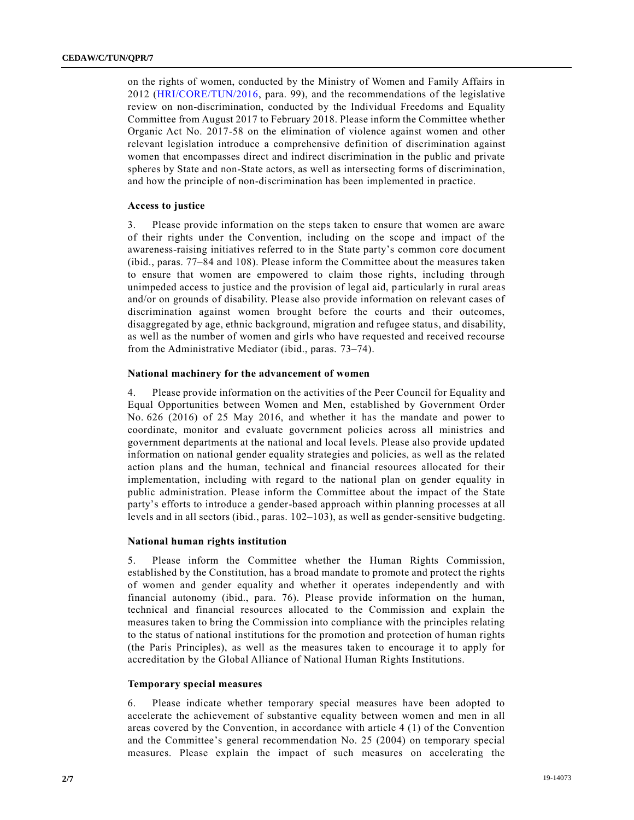on the rights of women, conducted by the Ministry of Women and Family Affairs in 2012 [\(HRI/CORE/TUN/2016,](https://undocs.org/en/HRI/CORE/TUN/2016) para. 99), and the recommendations of the legislative review on non-discrimination, conducted by the Individual Freedoms and Equality Committee from August 2017 to February 2018. Please inform the Committee whether Organic Act No. 2017-58 on the elimination of violence against women and other relevant legislation introduce a comprehensive definition of discrimination against women that encompasses direct and indirect discrimination in the public and private spheres by State and non-State actors, as well as intersecting forms of discrimination, and how the principle of non-discrimination has been implemented in practice.

#### **Access to justice**

3. Please provide information on the steps taken to ensure that women are aware of their rights under the Convention, including on the scope and impact of the awareness-raising initiatives referred to in the State party's common core document (ibid., paras. 77–84 and 108). Please inform the Committee about the measures taken to ensure that women are empowered to claim those rights, including through unimpeded access to justice and the provision of legal aid, particularly in rural areas and/or on grounds of disability. Please also provide information on relevant cases of discrimination against women brought before the courts and their outcomes, disaggregated by age, ethnic background, migration and refugee status, and disability, as well as the number of women and girls who have requested and received recourse from the Administrative Mediator (ibid., paras. 73–74).

#### **National machinery for the advancement of women**

4. Please provide information on the activities of the Peer Council for Equality and Equal Opportunities between Women and Men, established by Government Order No. 626 (2016) of 25 May 2016, and whether it has the mandate and power to coordinate, monitor and evaluate government policies across all ministries and government departments at the national and local levels. Please also provide updated information on national gender equality strategies and policies, as well as the related action plans and the human, technical and financial resources allocated for their implementation, including with regard to the national plan on gender equality in public administration. Please inform the Committee about the impact of the State party's efforts to introduce a gender-based approach within planning processes at all levels and in all sectors (ibid., paras. 102–103), as well as gender-sensitive budgeting.

#### **National human rights institution**

5. Please inform the Committee whether the Human Rights Commission, established by the Constitution, has a broad mandate to promote and protect the rights of women and gender equality and whether it operates independently and with financial autonomy (ibid., para. 76). Please provide information on the human, technical and financial resources allocated to the Commission and explain the measures taken to bring the Commission into compliance with the principles relating to the status of national institutions for the promotion and protection of human rights (the Paris Principles), as well as the measures taken to encourage it to apply for accreditation by the Global Alliance of National Human Rights Institutions.

#### **Temporary special measures**

6. Please indicate whether temporary special measures have been adopted to accelerate the achievement of substantive equality between women and men in all areas covered by the Convention, in accordance with article 4 (1) of the Convention and the Committee's general recommendation No. 25 (2004) on temporary special measures. Please explain the impact of such measures on accelerating the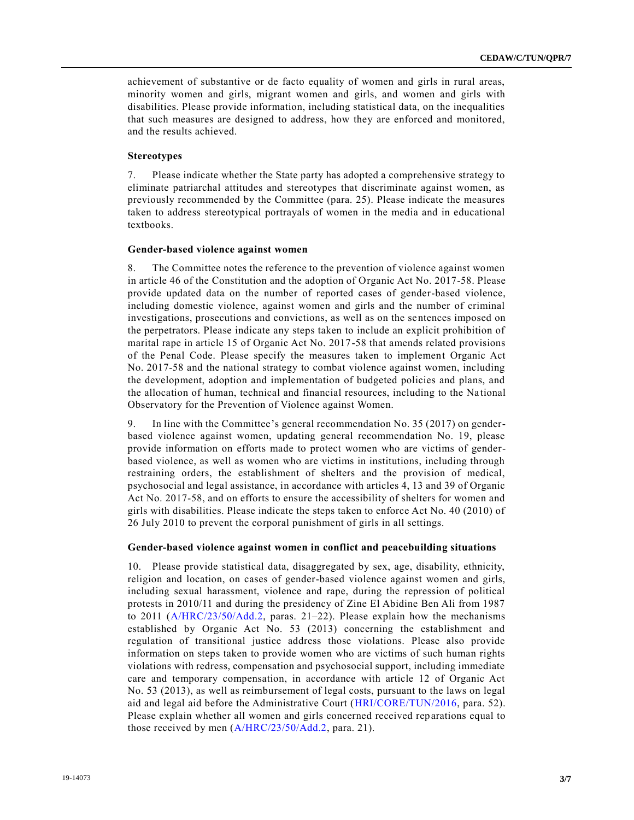achievement of substantive or de facto equality of women and girls in rural areas, minority women and girls, migrant women and girls, and women and girls with disabilities. Please provide information, including statistical data, on the inequalities that such measures are designed to address, how they are enforced and monitored, and the results achieved.

#### **Stereotypes**

7. Please indicate whether the State party has adopted a comprehensive strategy to eliminate patriarchal attitudes and stereotypes that discriminate against women, as previously recommended by the Committee (para. 25). Please indicate the measures taken to address stereotypical portrayals of women in the media and in educational textbooks.

#### **Gender-based violence against women**

8. The Committee notes the reference to the prevention of violence against women in article 46 of the Constitution and the adoption of Organic Act No. 2017-58. Please provide updated data on the number of reported cases of gender-based violence, including domestic violence, against women and girls and the number of criminal investigations, prosecutions and convictions, as well as on the sentences imposed on the perpetrators. Please indicate any steps taken to include an explicit prohibition of marital rape in article 15 of Organic Act No. 2017-58 that amends related provisions of the Penal Code. Please specify the measures taken to implement Organic Act No. 2017-58 and the national strategy to combat violence against women, including the development, adoption and implementation of budgeted policies and plans, and the allocation of human, technical and financial resources, including to the National Observatory for the Prevention of Violence against Women.

9. In line with the Committee's general recommendation No. 35 (2017) on genderbased violence against women, updating general recommendation No. 19, please provide information on efforts made to protect women who are victims of genderbased violence, as well as women who are victims in institutions, including through restraining orders, the establishment of shelters and the provision of medical, psychosocial and legal assistance, in accordance with articles 4, 13 and 39 of Organic Act No. 2017-58, and on efforts to ensure the accessibility of shelters for women and girls with disabilities. Please indicate the steps taken to enforce Act No. 40 (2010) of 26 July 2010 to prevent the corporal punishment of girls in all settings.

#### **Gender-based violence against women in conflict and peacebuilding situations**

10. Please provide statistical data, disaggregated by sex, age, disability, ethnicity, religion and location, on cases of gender-based violence against women and girls, including sexual harassment, violence and rape, during the repression of political protests in 2010/11 and during the presidency of Zine El Abidine Ben Ali from 1987 to 2011 ( $A/HRC/23/50/Add.2$ , paras. 21–22). Please explain how the mechanisms established by Organic Act No. 53 (2013) concerning the establishment and regulation of transitional justice address those violations. Please also provide information on steps taken to provide women who are victims of such human rights violations with redress, compensation and psychosocial support, including immediate care and temporary compensation, in accordance with article 12 of Organic Act No. 53 (2013), as well as reimbursement of legal costs, pursuant to the laws on legal aid and legal aid before the Administrative Court [\(HRI/CORE/TUN/2016,](https://undocs.org/en/HRI/CORE/TUN/2016) para. 52). Please explain whether all women and girls concerned received reparations equal to those received by men [\(A/HRC/23/50/Add.2,](https://undocs.org/en/A/HRC/23/50/Add.2) para. 21).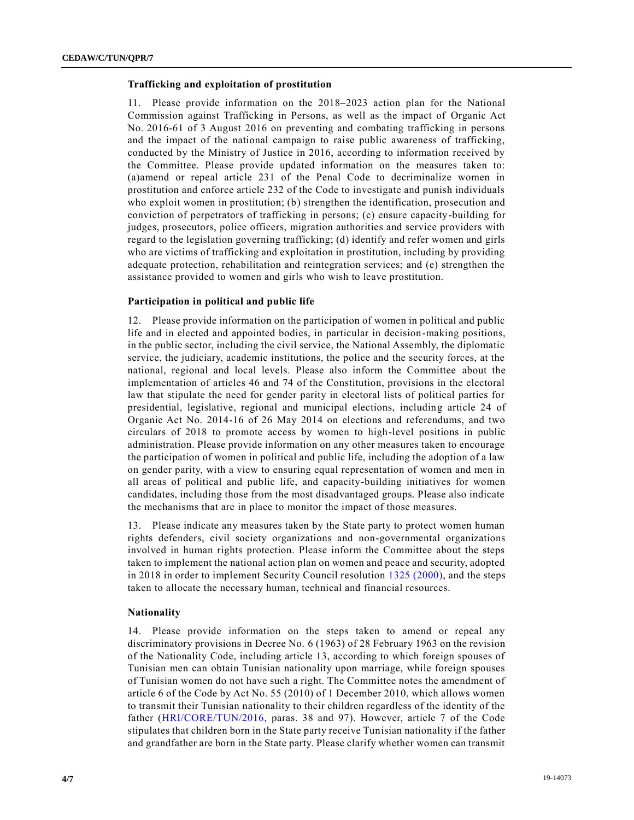#### **Trafficking and exploitation of prostitution**

11. Please provide information on the 2018–2023 action plan for the National Commission against Trafficking in Persons, as well as the impact of Organic Act No. 2016-61 of 3 August 2016 on preventing and combating trafficking in persons and the impact of the national campaign to raise public awareness of trafficking, conducted by the Ministry of Justice in 2016, according to information received by the Committee. Please provide updated information on the measures taken to: (a)amend or repeal article 231 of the Penal Code to decriminalize women in prostitution and enforce article 232 of the Code to investigate and punish individuals who exploit women in prostitution; (b) strengthen the identification, prosecution and conviction of perpetrators of trafficking in persons; (c) ensure capacity-building for judges, prosecutors, police officers, migration authorities and service providers with regard to the legislation governing trafficking; (d) identify and refer women and girls who are victims of trafficking and exploitation in prostitution, including by providing adequate protection, rehabilitation and reintegration services; and (e) strengthen the assistance provided to women and girls who wish to leave prostitution.

### **Participation in political and public life**

12. Please provide information on the participation of women in political and public life and in elected and appointed bodies, in particular in decision-making positions, in the public sector, including the civil service, the National Assembly, the diplomatic service, the judiciary, academic institutions, the police and the security forces, at the national, regional and local levels. Please also inform the Committee about the implementation of articles 46 and 74 of the Constitution, provisions in the electoral law that stipulate the need for gender parity in electoral lists of political parties for presidential, legislative, regional and municipal elections, including article 24 of Organic Act No. 2014-16 of 26 May 2014 on elections and referendums, and two circulars of 2018 to promote access by women to high-level positions in public administration. Please provide information on any other measures taken to encourage the participation of women in political and public life, including the adoption of a law on gender parity, with a view to ensuring equal representation of women and men in all areas of political and public life, and capacity-building initiatives for women candidates, including those from the most disadvantaged groups. Please also indicate the mechanisms that are in place to monitor the impact of those measures.

13. Please indicate any measures taken by the State party to protect women human rights defenders, civil society organizations and non-governmental organizations involved in human rights protection. Please inform the Committee about the steps taken to implement the national action plan on women and peace and security, adopted in 2018 in order to implement Security Council resolution [1325 \(2000\),](https://undocs.org/en/S/RES/1325%20(2000)) and the steps taken to allocate the necessary human, technical and financial resources.

#### **Nationality**

14. Please provide information on the steps taken to amend or repeal any discriminatory provisions in Decree No. 6 (1963) of 28 February 1963 on the revision of the Nationality Code, including article 13, according to which foreign spouses of Tunisian men can obtain Tunisian nationality upon marriage, while foreign spouses of Tunisian women do not have such a right. The Committee notes the amendment of article 6 of the Code by Act No. 55 (2010) of 1 December 2010, which allows women to transmit their Tunisian nationality to their children regardless of the identity of the father [\(HRI/CORE/TUN/2016,](https://undocs.org/en/HRI/CORE/TUN/2016) paras. 38 and 97). However, article 7 of the Code stipulates that children born in the State party receive Tunisian nationality if the father and grandfather are born in the State party. Please clarify whether women can transmit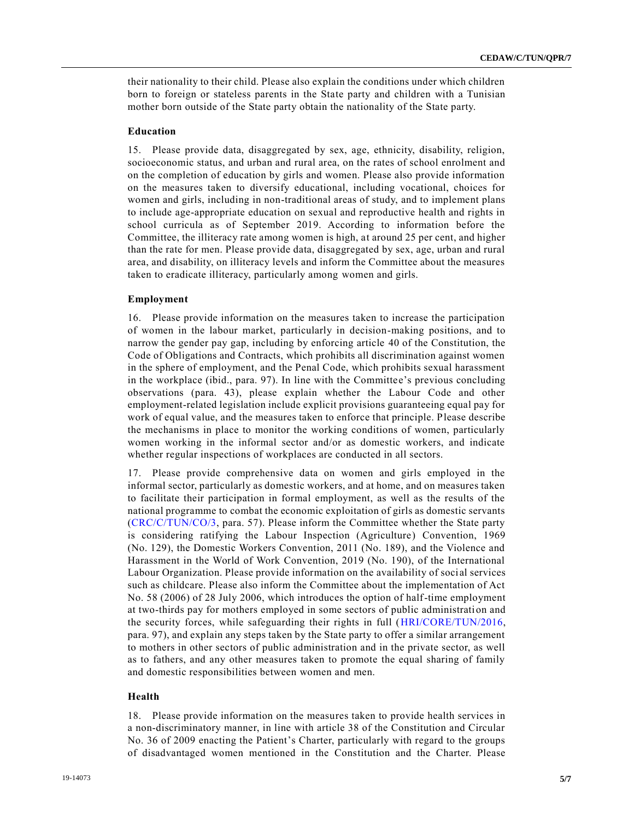their nationality to their child. Please also explain the conditions under which children born to foreign or stateless parents in the State party and children with a Tunisian mother born outside of the State party obtain the nationality of the State party.

#### **Education**

15. Please provide data, disaggregated by sex, age, ethnicity, disability, religion, socioeconomic status, and urban and rural area, on the rates of school enrolment and on the completion of education by girls and women. Please also provide information on the measures taken to diversify educational, including vocational, choices for women and girls, including in non-traditional areas of study, and to implement plans to include age-appropriate education on sexual and reproductive health and rights in school curricula as of September 2019. According to information before the Committee, the illiteracy rate among women is high, at around 25 per cent, and higher than the rate for men. Please provide data, disaggregated by sex, age, urban and rural area, and disability, on illiteracy levels and inform the Committee about the measures taken to eradicate illiteracy, particularly among women and girls.

#### **Employment**

16. Please provide information on the measures taken to increase the participation of women in the labour market, particularly in decision-making positions, and to narrow the gender pay gap, including by enforcing article 40 of the Constitution, the Code of Obligations and Contracts, which prohibits all discrimination against women in the sphere of employment, and the Penal Code, which prohibits sexual harassment in the workplace (ibid., para. 97). In line with the Committee's previous concluding observations (para. 43), please explain whether the Labour Code and other employment-related legislation include explicit provisions guaranteeing equal pay for work of equal value, and the measures taken to enforce that principle. Please describe the mechanisms in place to monitor the working conditions of women, particularly women working in the informal sector and/or as domestic workers, and indicate whether regular inspections of workplaces are conducted in all sectors.

17. Please provide comprehensive data on women and girls employed in the informal sector, particularly as domestic workers, and at home, and on measures taken to facilitate their participation in formal employment, as well as the results of the national programme to combat the economic exploitation of girls as domestic servants [\(CRC/C/TUN/CO/3,](https://undocs.org/en/CRC/C/TUN/CO/3) para. 57). Please inform the Committee whether the State party is considering ratifying the Labour Inspection (Agriculture) Convention, 1969 (No. 129), the Domestic Workers Convention, 2011 (No. 189), and the Violence and Harassment in the World of Work Convention, 2019 (No. 190), of the International Labour Organization. Please provide information on the availability of social services such as childcare. Please also inform the Committee about the implementation of Act No. 58 (2006) of 28 July 2006, which introduces the option of half-time employment at two-thirds pay for mothers employed in some sectors of public administration and the security forces, while safeguarding their rights in full [\(HRI/CORE/TUN/2016,](https://undocs.org/en/HRI/CORE/TUN/2016) para. 97), and explain any steps taken by the State party to offer a similar arrangement to mothers in other sectors of public administration and in the private sector, as well as to fathers, and any other measures taken to promote the equal sharing of family and domestic responsibilities between women and men.

#### **Health**

18. Please provide information on the measures taken to provide health services in a non-discriminatory manner, in line with article 38 of the Constitution and Circular No. 36 of 2009 enacting the Patient's Charter, particularly with regard to the groups of disadvantaged women mentioned in the Constitution and the Charter. Please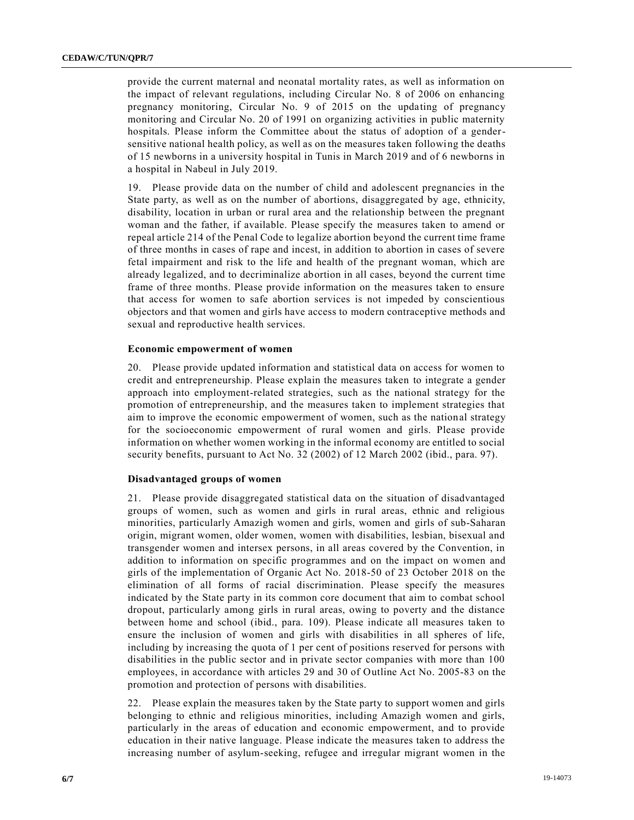provide the current maternal and neonatal mortality rates, as well as information on the impact of relevant regulations, including Circular No. 8 of 2006 on enhancing pregnancy monitoring, Circular No. 9 of 2015 on the updating of pregnancy monitoring and Circular No. 20 of 1991 on organizing activities in public maternity hospitals. Please inform the Committee about the status of adoption of a gendersensitive national health policy, as well as on the measures taken following the deaths of 15 newborns in a university hospital in Tunis in March 2019 and of 6 newborns in a hospital in Nabeul in July 2019.

19. Please provide data on the number of child and adolescent pregnancies in the State party, as well as on the number of abortions, disaggregated by age, ethnicity, disability, location in urban or rural area and the relationship between the pregnant woman and the father, if available. Please specify the measures taken to amend or repeal article 214 of the Penal Code to legalize abortion beyond the current time frame of three months in cases of rape and incest, in addition to abortion in cases of severe fetal impairment and risk to the life and health of the pregnant woman, which are already legalized, and to decriminalize abortion in all cases, beyond the current time frame of three months. Please provide information on the measures taken to ensure that access for women to safe abortion services is not impeded by conscientious objectors and that women and girls have access to modern contraceptive methods and sexual and reproductive health services.

#### **Economic empowerment of women**

20. Please provide updated information and statistical data on access for women to credit and entrepreneurship. Please explain the measures taken to integrate a gender approach into employment-related strategies, such as the national strategy for the promotion of entrepreneurship, and the measures taken to implement strategies that aim to improve the economic empowerment of women, such as the national strategy for the socioeconomic empowerment of rural women and girls. Please provide information on whether women working in the informal economy are entitled to social security benefits, pursuant to Act No. 32 (2002) of 12 March 2002 (ibid., para. 97).

#### **Disadvantaged groups of women**

21. Please provide disaggregated statistical data on the situation of disadvantaged groups of women, such as women and girls in rural areas, ethnic and religious minorities, particularly Amazigh women and girls, women and girls of sub-Saharan origin, migrant women, older women, women with disabilities, lesbian, bisexual and transgender women and intersex persons, in all areas covered by the Convention, in addition to information on specific programmes and on the impact on women and girls of the implementation of Organic Act No. 2018-50 of 23 October 2018 on the elimination of all forms of racial discrimination. Please specify the measures indicated by the State party in its common core document that aim to combat school dropout, particularly among girls in rural areas, owing to poverty and the distance between home and school (ibid., para. 109). Please indicate all measures taken to ensure the inclusion of women and girls with disabilities in all spheres of life, including by increasing the quota of 1 per cent of positions reserved for persons with disabilities in the public sector and in private sector companies with more than 100 employees, in accordance with articles 29 and 30 of Outline Act No. 2005-83 on the promotion and protection of persons with disabilities.

22. Please explain the measures taken by the State party to support women and girls belonging to ethnic and religious minorities, including Amazigh women and girls, particularly in the areas of education and economic empowerment, and to provide education in their native language. Please indicate the measures taken to address the increasing number of asylum-seeking, refugee and irregular migrant women in the